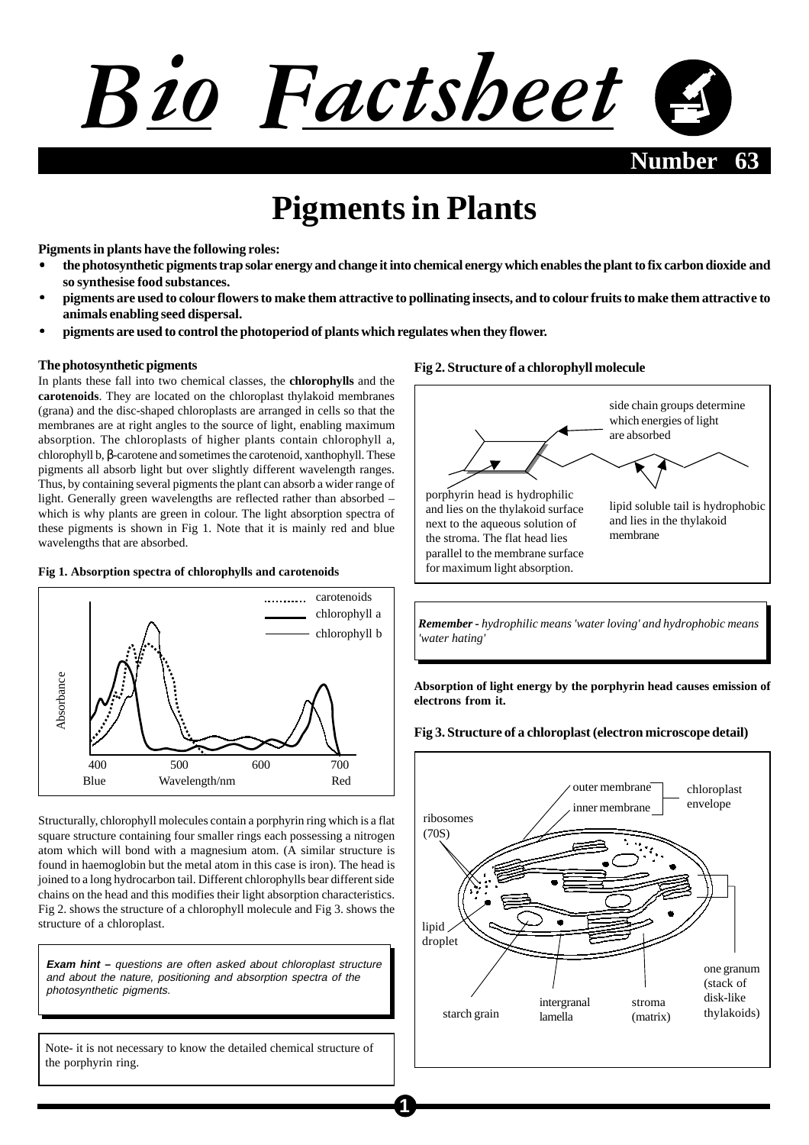

# **Pigments in Plants**

**Pigments in plants have the following roles:**

- **the photosynthetic pigments trap solar energy and change it into chemical energy which enables the plant to fix carbon dioxide and so synthesise food substances.**
- **pigments are used to colour flowers to make them attractive to pollinating insects, and to colour fruits to make them attractive to animals enabling seed dispersal.**
- **pigments are used to control the photoperiod of plants which regulates when they flower.**

#### **The photosynthetic pigments**

In plants these fall into two chemical classes, the **chlorophylls** and the **carotenoids**. They are located on the chloroplast thylakoid membranes (grana) and the disc-shaped chloroplasts are arranged in cells so that the membranes are at right angles to the source of light, enabling maximum absorption. The chloroplasts of higher plants contain chlorophyll a, chlorophyll b, β-carotene and sometimes the carotenoid, xanthophyll. These pigments all absorb light but over slightly different wavelength ranges. Thus, by containing several pigments the plant can absorb a wider range of light. Generally green wavelengths are reflected rather than absorbed – which is why plants are green in colour. The light absorption spectra of these pigments is shown in Fig 1. Note that it is mainly red and blue wavelengths that are absorbed.

#### **Fig 1. Absorption spectra of chlorophylls and carotenoids**



Structurally, chlorophyll molecules contain a porphyrin ring which is a flat square structure containing four smaller rings each possessing a nitrogen atom which will bond with a magnesium atom. (A similar structure is found in haemoglobin but the metal atom in this case is iron). The head is joined to a long hydrocarbon tail. Different chlorophylls bear different side chains on the head and this modifies their light absorption characteristics. Fig 2. shows the structure of a chlorophyll molecule and Fig 3. shows the structure of a chloroplast.

**Exam hint –** questions are often asked about chloroplast structure and about the nature, positioning and absorption spectra of the photosynthetic pigments.

Note- it is not necessary to know the detailed chemical structure of the porphyrin ring.

#### **Fig 2. Structure of a chlorophyll molecule**



*Remember - hydrophilic means 'water loving' and hydrophobic means 'water hating'*

**Absorption of light energy by the porphyrin head causes emission of electrons from it.**

**Fig 3. Structure of a chloroplast (electron microscope detail)**

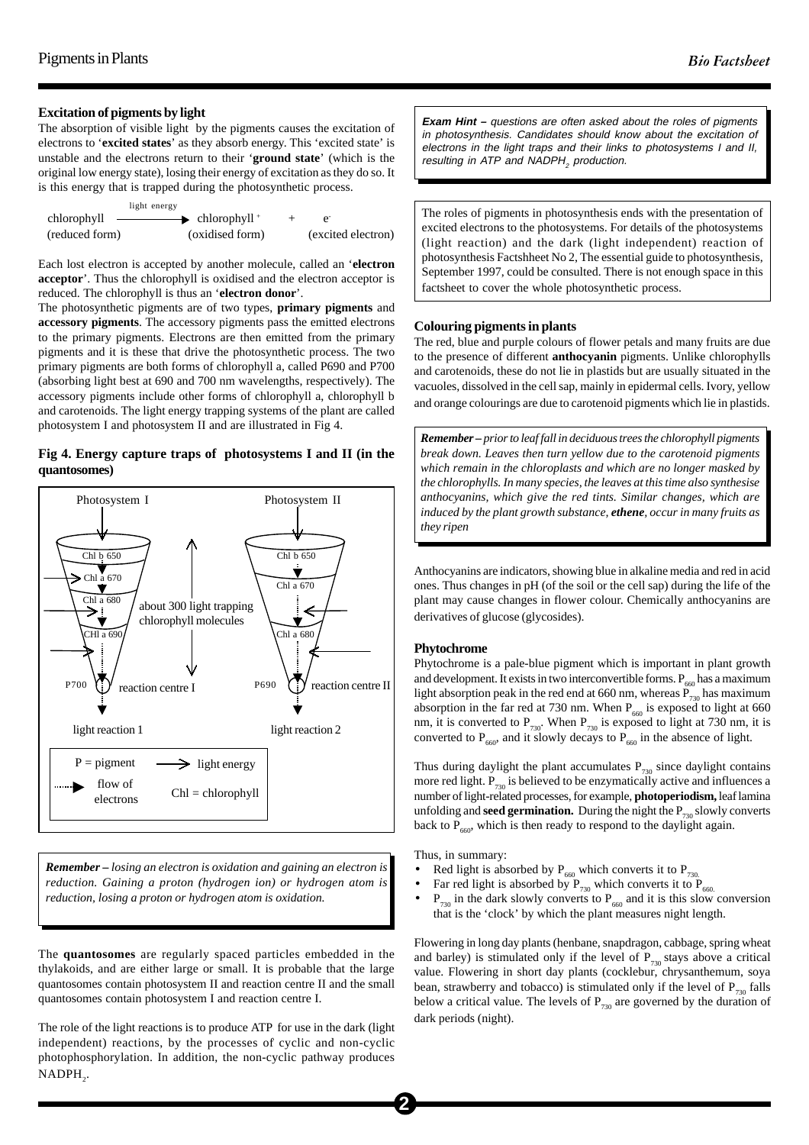#### **Excitation of pigments by light**

The absorption of visible light by the pigments causes the excitation of electrons to '**excited states**' as they absorb energy. This 'excited state' is unstable and the electrons return to their '**ground state**' (which is the original low energy state), losing their energy of excitation as they do so. It is this energy that is trapped during the photosynthetic process.

| light energy   |                                             |                    |
|----------------|---------------------------------------------|--------------------|
| chlorophyll    | $\longrightarrow$ chlorophyll $\rightarrow$ |                    |
| (reduced form) | (oxidised form)                             | (excited electron) |

Each lost electron is accepted by another molecule, called an '**electron acceptor**'. Thus the chlorophyll is oxidised and the electron acceptor is reduced. The chlorophyll is thus an '**electron donor**'.

The photosynthetic pigments are of two types, **primary pigments** and **accessory pigments**. The accessory pigments pass the emitted electrons to the primary pigments. Electrons are then emitted from the primary pigments and it is these that drive the photosynthetic process. The two primary pigments are both forms of chlorophyll a, called P690 and P700 (absorbing light best at 690 and 700 nm wavelengths, respectively). The accessory pigments include other forms of chlorophyll a, chlorophyll b and carotenoids. The light energy trapping systems of the plant are called photosystem I and photosystem II and are illustrated in Fig 4.

### **Fig 4. Energy capture traps of photosystems I and II (in the quantosomes)**



*Remember – losing an electron is oxidation and gaining an electron is reduction. Gaining a proton (hydrogen ion) or hydrogen atom is reduction, losing a proton or hydrogen atom is oxidation.*

The **quantosomes** are regularly spaced particles embedded in the thylakoids, and are either large or small. It is probable that the large quantosomes contain photosystem II and reaction centre II and the small quantosomes contain photosystem I and reaction centre I.

The role of the light reactions is to produce ATP for use in the dark (light) independent) reactions, by the processes of cyclic and non-cyclic photophosphorylation. In addition, the non-cyclic pathway produces  $NADPH_{2}$ .

**Exam Hint –** questions are often asked about the roles of pigments in photosynthesis. Candidates should know about the excitation of electrons in the light traps and their links to photosystems I and II, resulting in ATP and NADPH<sub>2</sub> production.

The roles of pigments in photosynthesis ends with the presentation of excited electrons to the photosystems. For details of the photosystems (light reaction) and the dark (light independent) reaction of photosynthesis Factshheet No 2, The essential guide to photosynthesis, September 1997, could be consulted. There is not enough space in this factsheet to cover the whole photosynthetic process.

#### **Colouring pigments in plants**

The red, blue and purple colours of flower petals and many fruits are due to the presence of different **anthocyanin** pigments. Unlike chlorophylls and carotenoids, these do not lie in plastids but are usually situated in the vacuoles, dissolved in the cell sap, mainly in epidermal cells. Ivory, yellow and orange colourings are due to carotenoid pigments which lie in plastids.

*Remember – prior to leaf fall in deciduous trees the chlorophyll pigments break down. Leaves then turn yellow due to the carotenoid pigments which remain in the chloroplasts and which are no longer masked by the chlorophylls. In many species, the leaves at this time also synthesise anthocyanins, which give the red tints. Similar changes, which are induced by the plant growth substance, ethene, occur in many fruits as they ripen*

Anthocyanins are indicators, showing blue in alkaline media and red in acid ones. Thus changes in pH (of the soil or the cell sap) during the life of the plant may cause changes in flower colour. Chemically anthocyanins are derivatives of glucose (glycosides).

#### **Phytochrome**

Phytochrome is a pale-blue pigment which is important in plant growth and development. It exists in two interconvertible forms.  $P_{660}$  has a maximum light absorption peak in the red end at 660 nm, whereas  $\overline{P}_{730}$  has maximum absorption in the far red at 730 nm. When  $P_{660}$  is exposed to light at 660 nm, it is converted to  $P_{730}$ . When  $P_{730}$  is exposed to light at 730 nm, it is converted to  $P_{660}$ , and it slowly decays to  $P_{660}$  in the absence of light.

Thus during daylight the plant accumulates  $P_{730}$  since daylight contains more red light.  $P_{720}$  is believed to be enzymatically active and influences a number of light-related processes, for example, **photoperiodism,** leaf lamina unfolding and **seed germination.** During the night the  $P_{730}$  slowly converts back to  $P_{660}$ , which is then ready to respond to the daylight again.

Thus, in summary:

- Red light is absorbed by  $P_{660}$  which converts it to P<sub>730.</sub> Far red light is absorbed by  $P_{720}$  which converts it to P
- 
- Far red light is absorbed by  $P_{730}$  which converts it to  $P_{660}$ .<br>•  $P_{730}$  in the dark slowly converts to  $P_{660}$  and it is this slow  $P_{730}$  in the dark slowly converts to  $P_{660}$  and it is this slow conversion that is the 'clock' by which the plant measures night length.

Flowering in long day plants (henbane, snapdragon, cabbage, spring wheat and barley) is stimulated only if the level of  $P_{730}$  stays above a critical value. Flowering in short day plants (cocklebur, chrysanthemum, soya bean, strawberry and tobacco) is stimulated only if the level of  $P_{730}$  falls below a critical value. The levels of  $P_{730}$  are governed by the duration of dark periods (night).